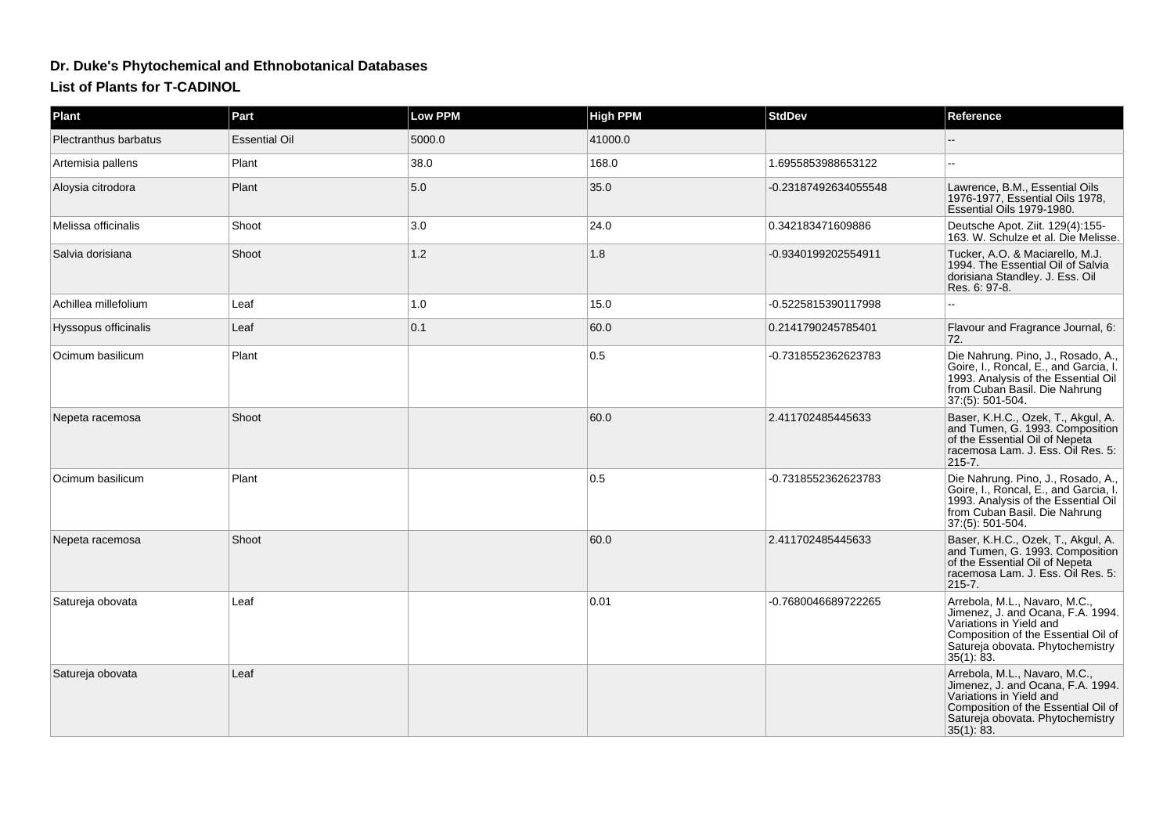## **Dr. Duke's Phytochemical and Ethnobotanical DatabasesList of Plants for T-CADINOL**

| Plant                        | Part                 | <b>Low PPM</b> | <b>High PPM</b> | <b>StdDev</b>        | Reference                                                                                                                                                                                 |
|------------------------------|----------------------|----------------|-----------------|----------------------|-------------------------------------------------------------------------------------------------------------------------------------------------------------------------------------------|
| <b>Plectranthus barbatus</b> | <b>Essential Oil</b> | 5000.0         | 41000.0         |                      |                                                                                                                                                                                           |
| Artemisia pallens            | Plant                | 38.0           | 168.0           | 1.6955853988653122   |                                                                                                                                                                                           |
| Aloysia citrodora            | Plant                | 5.0            | 35.0            | -0.23187492634055548 | Lawrence, B.M., Essential Oils<br>1976-1977, Essential Oils 1978,<br>Essential Oils 1979-1980.                                                                                            |
| Melissa officinalis          | Shoot                | 3.0            | 24.0            | 0.342183471609886    | Deutsche Apot. Ziit. 129(4):155-<br>163. W. Schulze et al. Die Melisse.                                                                                                                   |
| Salvia dorisiana             | Shoot                | $1.2$          | 1.8             | -0.9340199202554911  | Tucker, A.O. & Maciarello, M.J.<br>1994. The Essential Oil of Salvia<br>dorisiana Standley. J. Ess. Oil<br>Res. 6: 97-8.                                                                  |
| Achillea millefolium         | Leaf                 | 1.0            | 15.0            | -0.5225815390117998  |                                                                                                                                                                                           |
| Hyssopus officinalis         | Leaf                 | 0.1            | 60.0            | 0.2141790245785401   | Flavour and Fragrance Journal, 6:<br>72.                                                                                                                                                  |
| Ocimum basilicum             | Plant                |                | 0.5             | -0.7318552362623783  | Die Nahrung. Pino, J., Rosado, A.,<br>Goire, I., Roncal, E., and Garcia, I.<br>1993. Analysis of the Essential Oil<br>from Cuban Basil. Die Nahrung<br>37:(5): 501-504.                   |
| Nepeta racemosa              | Shoot                |                | 60.0            | 2.411702485445633    | Baser, K.H.C., Ozek, T., Akgul, A.<br>and Tumen, G. 1993. Composition<br>of the Essential Oil of Nepeta<br>racemosa Lam. J. Ess. Oil Res. 5:<br>$215 - 7.$                                |
| Ocimum basilicum             | Plant                |                | 0.5             | -0.7318552362623783  | Die Nahrung. Pino, J., Rosado, A.,<br>Goire, I., Roncal, E., and Garcia, I.<br>1993. Analysis of the Essential Oil<br>from Cuban Basil. Die Nahrung<br>37:(5): 501-504.                   |
| Nepeta racemosa              | Shoot                |                | 60.0            | 2.411702485445633    | Baser, K.H.C., Ozek, T., Akgul, A.<br>and Tumen, G. 1993. Composition<br>of the Essential Oil of Nepeta<br>racemosa Lam. J. Ess. Oil Res. 5:<br>$215 - 7.$                                |
| Satureja obovata             | Leaf                 |                | 0.01            | -0.7680046689722265  | Arrebola, M.L., Navaro, M.C.,<br>Jimenez, J. and Ocana, F.A. 1994.<br>Variations in Yield and<br>Composition of the Essential Oil of<br>Satureja obovata. Phytochemistry<br>35(1): 83.    |
| Satureja obovata             | Leaf                 |                |                 |                      | Arrebola, M.L., Navaro, M.C.,<br>Jimenez, J. and Ocana, F.A. 1994.<br>Variations in Yield and<br>Composition of the Essential Oil of<br>Satureja obovata. Phytochemistry<br>$35(1)$ : 83. |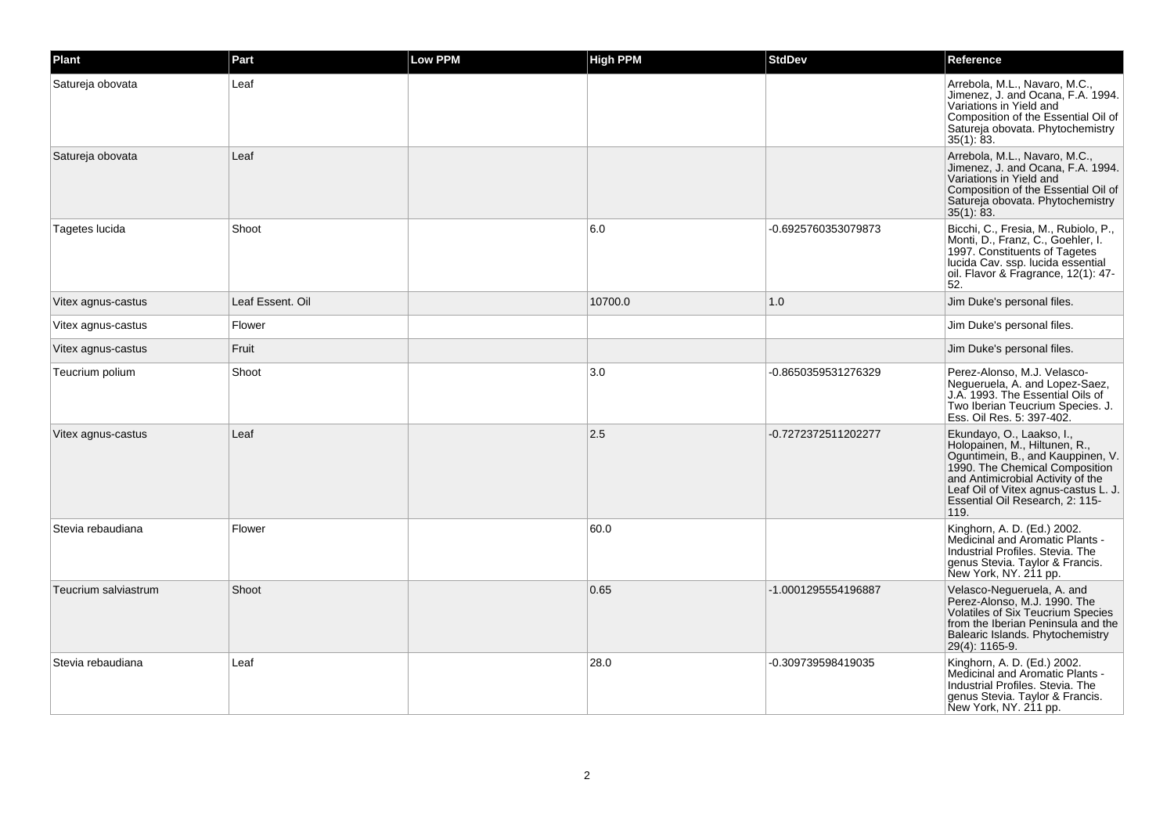| Plant                | Part             | <b>Low PPM</b> | <b>High PPM</b> | <b>StdDev</b>       | Reference                                                                                                                                                                                                                                                 |
|----------------------|------------------|----------------|-----------------|---------------------|-----------------------------------------------------------------------------------------------------------------------------------------------------------------------------------------------------------------------------------------------------------|
| Satureja obovata     | Leaf             |                |                 |                     | Arrebola, M.L., Navaro, M.C.,<br>Jimenez, J. and Ocana, F.A. 1994.<br>Variations in Yield and<br>Composition of the Essential Oil of<br>Satureja obovata. Phytochemistry<br>35(1): 83.                                                                    |
| Satureja obovata     | Leaf             |                |                 |                     | Arrebola, M.L., Navaro, M.C.,<br>Jimenez, J. and Ocana, F.A. 1994.<br>Variations in Yield and<br>Composition of the Essential Oil of<br>Satureja obovata. Phytochemistry<br>35(1): 83.                                                                    |
| Tagetes lucida       | Shoot            |                | 6.0             | -0.6925760353079873 | Bicchi, C., Fresia, M., Rubiolo, P.,<br>Monti, D., Franz, C., Goehler, I.<br>1997. Constituents of Tagetes<br>lucida Cav. ssp. lucida essential<br>oil. Flavor & Fragrance, 12(1): 47-<br>52.                                                             |
| Vitex agnus-castus   | Leaf Essent. Oil |                | 10700.0         | 1.0                 | Jim Duke's personal files.                                                                                                                                                                                                                                |
| Vitex agnus-castus   | Flower           |                |                 |                     | Jim Duke's personal files.                                                                                                                                                                                                                                |
| Vitex agnus-castus   | Fruit            |                |                 |                     | Jim Duke's personal files.                                                                                                                                                                                                                                |
| Teucrium polium      | Shoot            |                | 3.0             | -0.8650359531276329 | Perez-Alonso, M.J. Velasco-<br>Negueruela, A. and Lopez-Saez,<br>J.A. 1993. The Essential Oils of<br>Two Iberian Teucrium Species. J.<br>Ess. Oil Res. 5: 397-402.                                                                                        |
| Vitex agnus-castus   | Leaf             |                | 2.5             | -0.7272372511202277 | Ekundayo, O., Laakso, I.,<br>Holopainen, M., Hiltunen, R.,<br>Oguntimein, B., and Kauppinen, V.<br>1990. The Chemical Composition<br>and Antimicrobial Activity of the<br>Leaf Oil of Vitex agnus-castus L. J.<br>Essential Oil Research, 2: 115-<br>119. |
| Stevia rebaudiana    | Flower           |                | 60.0            |                     | Kinghorn, A. D. (Ed.) 2002.<br>Medicinal and Aromatic Plants -<br>Industrial Profiles, Stevia, The<br>genus Stevia. Taylor & Francis.<br>New York, NY. 211 pp.                                                                                            |
| Teucrium salviastrum | Shoot            |                | 0.65            | -1.0001295554196887 | Velasco-Negueruela, A. and<br>Perez-Alonso, M.J. 1990. The<br>Volatiles of Six Teucrium Species<br>from the Iberian Peninsula and the<br>Balearic Islands. Phytochemistry<br>29(4): 1165-9.                                                               |
| Stevia rebaudiana    | Leaf             |                | 28.0            | -0.309739598419035  | Kinghorn, A. D. (Ed.) 2002.<br>Medicinal and Aromatic Plants -<br>Industrial Profiles, Stevia, The<br>genus Stevia. Taylor & Francis.<br>New York, NY. 211 pp.                                                                                            |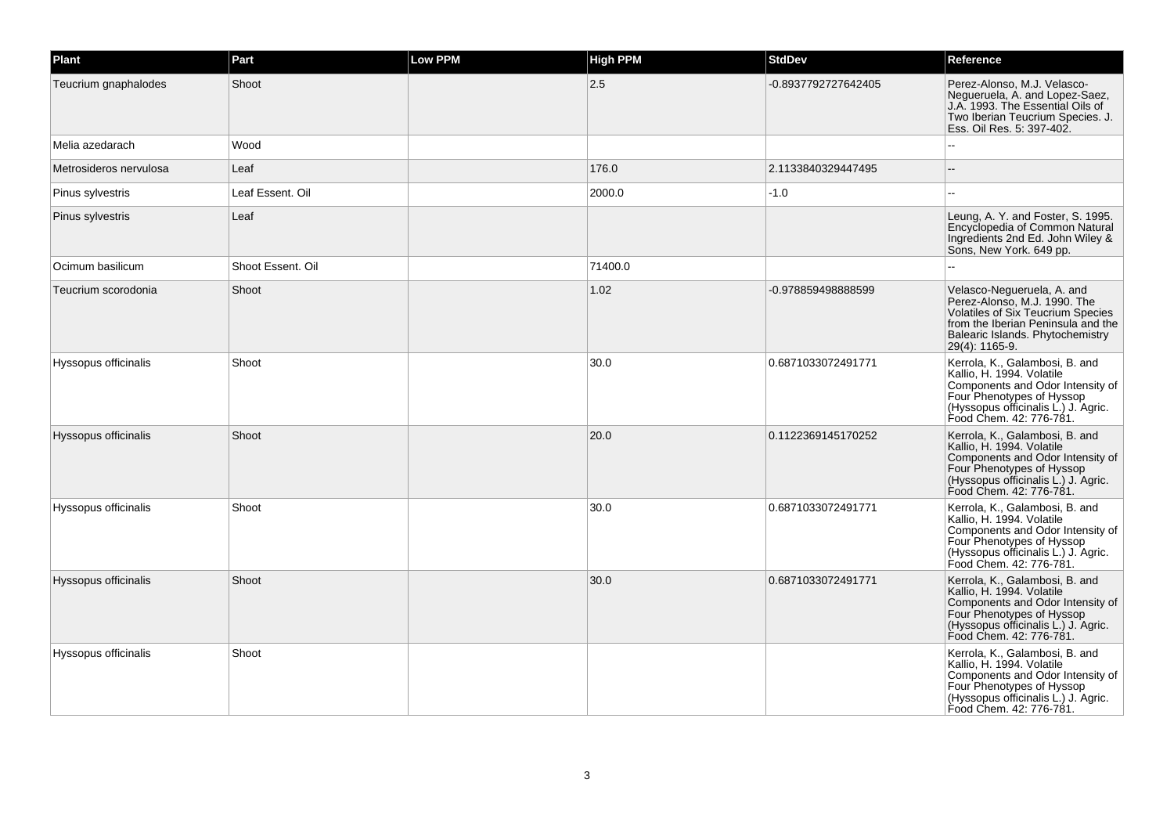| Plant                  | Part              | <b>Low PPM</b> | <b>High PPM</b> | <b>StdDev</b>       | Reference                                                                                                                                                                                          |
|------------------------|-------------------|----------------|-----------------|---------------------|----------------------------------------------------------------------------------------------------------------------------------------------------------------------------------------------------|
| Teucrium gnaphalodes   | Shoot             |                | 2.5             | -0.8937792727642405 | Perez-Alonso, M.J. Velasco-<br>Negueruela, A. and Lopez-Saez,<br>J.A. 1993. The Essential Oils of<br>Two Iberian Teucrium Species. J.<br>Ess. Oil Res. 5: 397-402.                                 |
| Melia azedarach        | Wood              |                |                 |                     |                                                                                                                                                                                                    |
| Metrosideros nervulosa | Leaf              |                | 176.0           | 2.1133840329447495  |                                                                                                                                                                                                    |
| Pinus sylvestris       | Leaf Essent. Oil  |                | 2000.0          | $-1.0$              | $\overline{a}$                                                                                                                                                                                     |
| Pinus sylvestris       | Leaf              |                |                 |                     | Leung, A. Y. and Foster, S. 1995.<br>Encyclopedia of Common Natural<br>Ingredients 2nd Ed. John Wiley &<br>Sons, New York. 649 pp.                                                                 |
| Ocimum basilicum       | Shoot Essent, Oil |                | 71400.0         |                     |                                                                                                                                                                                                    |
| Teucrium scorodonia    | Shoot             |                | 1.02            | -0.978859498888599  | Velasco-Negueruela, A. and<br>Perez-Alonso, M.J. 1990. The<br><b>Volatiles of Six Teucrium Species</b><br>from the Iberian Peninsula and the<br>Balearic Islands. Phytochemistry<br>29(4): 1165-9. |
| Hyssopus officinalis   | Shoot             |                | 30.0            | 0.6871033072491771  | Kerrola, K., Galambosi, B. and<br>Kallio, H. 1994. Volatile<br>Components and Odor Intensity of<br>Four Phenotypes of Hyssop<br>(Hyssopus officinalis L.) J. Agric.<br>Food Chem. 42: 776-781.     |
| Hyssopus officinalis   | Shoot             |                | 20.0            | 0.1122369145170252  | Kerrola, K., Galambosi, B. and<br>Kallio, H. 1994. Volatile<br>Components and Odor Intensity of<br>Four Phenotypes of Hyssop<br>(Hyssopus officinalis L.) J. Agric.<br>Food Chem. 42: 776-781.     |
| Hyssopus officinalis   | Shoot             |                | 30.0            | 0.6871033072491771  | Kerrola, K., Galambosi, B. and<br>Kallio, H. 1994. Volatile<br>Components and Odor Intensity of<br>Four Phenotypes of Hyssop<br>(Hyssopus officinalis L.) J. Agric.<br>Food Chem. 42: 776-781.     |
| Hyssopus officinalis   | Shoot             |                | 30.0            | 0.6871033072491771  | Kerrola, K., Galambosi, B. and<br>Kallio, H. 1994. Volatile<br>Components and Odor Intensity of<br>Four Phenotypes of Hyssop<br>(Hyssopus officinalis L.) J. Agric.<br>Food Chem. 42: 776-781.     |
| Hyssopus officinalis   | Shoot             |                |                 |                     | Kerrola, K., Galambosi, B. and<br>Kallio, H. 1994. Volatile<br>Components and Odor Intensity of<br>Four Phenotypes of Hyssop<br>(Hyssopus officinalis L.) J. Agric.<br>Food Chem. 42: 776-781.     |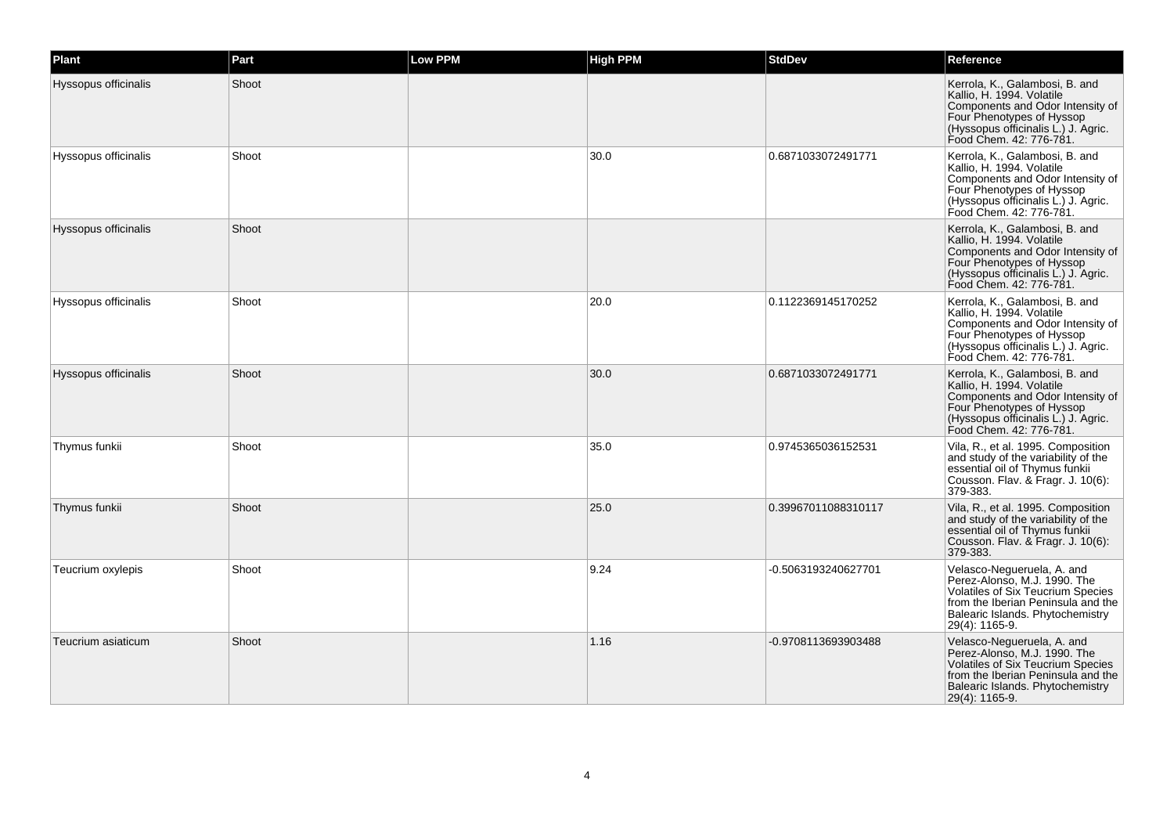| Plant                | Part  | <b>Low PPM</b> | <b>High PPM</b> | <b>StdDev</b>       | Reference                                                                                                                                                                                          |
|----------------------|-------|----------------|-----------------|---------------------|----------------------------------------------------------------------------------------------------------------------------------------------------------------------------------------------------|
| Hyssopus officinalis | Shoot |                |                 |                     | Kerrola, K., Galambosi, B. and<br>Kallio, H. 1994. Volatile<br>Components and Odor Intensity of<br>Four Phenotypes of Hyssop<br>(Hyssopus officinalis L.) J. Agric.<br>Food Chem. 42: 776-781.     |
| Hyssopus officinalis | Shoot |                | 30.0            | 0.6871033072491771  | Kerrola, K., Galambosi, B. and<br>Kallio, H. 1994. Volatile<br>Components and Odor Intensity of<br>Four Phenotypes of Hyssop<br>(Hyssopus officinalis L.) J. Agric.<br>Food Chem. 42: 776-781.     |
| Hyssopus officinalis | Shoot |                |                 |                     | Kerrola, K., Galambosi, B. and<br>Kallio, H. 1994. Volatile<br>Components and Odor Intensity of<br>Four Phenotypes of Hyssop<br>(Hyssopus officinalis L.) J. Agric.<br>Food Chem. 42: 776-781.     |
| Hyssopus officinalis | Shoot |                | 20.0            | 0.1122369145170252  | Kerrola, K., Galambosi, B. and<br>Kallio, H. 1994. Volatile<br>Components and Odor Intensity of<br>Four Phenotypes of Hyssop<br>(Hyssopus officinalis L.) J. Agric.<br>Food Chem. 42: 776-781.     |
| Hyssopus officinalis | Shoot |                | 30.0            | 0.6871033072491771  | Kerrola, K., Galambosi, B. and<br>Kallio, H. 1994. Volatile<br>Components and Odor Intensity of<br>Four Phenotypes of Hyssop<br>(Hyssopus officinalis L.) J. Agric.<br>Food Chem. 42: 776-781.     |
| Thymus funkii        | Shoot |                | 35.0            | 0.9745365036152531  | Vila, R., et al. 1995. Composition<br>and study of the variability of the<br>essential oil of Thymus funkii<br>Cousson. Flav. & Fragr. J. 10(6):<br>379-383.                                       |
| Thymus funkii        | Shoot |                | 25.0            | 0.39967011088310117 | Vila, R., et al. 1995. Composition<br>and study of the variability of the<br>essential oil of Thymus funkii<br>Cousson. Flav. & Fragr. J. 10(6):<br>379-383.                                       |
| Teucrium oxylepis    | Shoot |                | 9.24            | -0.5063193240627701 | Velasco-Negueruela, A. and<br>Perez-Alonso, M.J. 1990. The<br><b>Volatiles of Six Teucrium Species</b><br>from the Iberian Peninsula and the<br>Balearic Islands. Phytochemistry<br>29(4): 1165-9. |
| Teucrium asiaticum   | Shoot |                | 1.16            | -0.9708113693903488 | Velasco-Negueruela, A. and<br>Perez-Alonso, M.J. 1990. The<br><b>Volatiles of Six Teucrium Species</b><br>from the Iberian Peninsula and the<br>Balearic Islands. Phytochemistry<br>29(4): 1165-9. |